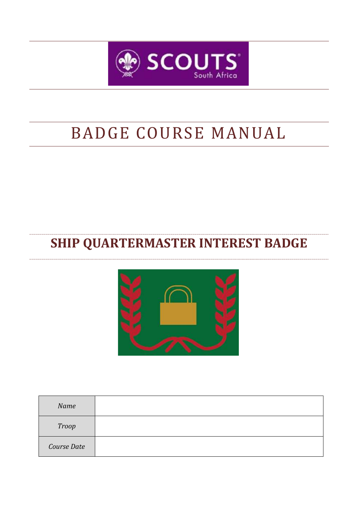

# BADGE COURSE MANUAL

## **SHIP QUARTERMASTER INTEREST BADGE**



| Name         |  |
|--------------|--|
| <b>Troop</b> |  |
| Course Date  |  |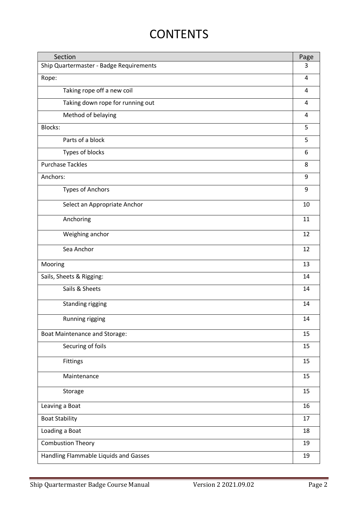## **CONTENTS**

| Section                                 |    |
|-----------------------------------------|----|
| Ship Quartermaster - Badge Requirements |    |
| Rope:                                   | 4  |
| Taking rope off a new coil              |    |
| Taking down rope for running out        |    |
| Method of belaying                      |    |
| <b>Blocks:</b>                          | 5  |
| Parts of a block                        | 5  |
| Types of blocks                         | 6  |
| <b>Purchase Tackles</b>                 | 8  |
| Anchors:                                | 9  |
| <b>Types of Anchors</b>                 | 9  |
| Select an Appropriate Anchor            | 10 |
| Anchoring                               | 11 |
| Weighing anchor                         | 12 |
| Sea Anchor                              | 12 |
| Mooring                                 | 13 |
| Sails, Sheets & Rigging:                | 14 |
| Sails & Sheets                          | 14 |
| Standing rigging                        | 14 |
| Running rigging                         | 14 |
| <b>Boat Maintenance and Storage:</b>    | 15 |
| Securing of foils                       | 15 |
| Fittings                                | 15 |
| Maintenance                             | 15 |
| Storage                                 | 15 |
| Leaving a Boat                          | 16 |
| <b>Boat Stability</b>                   |    |
| Loading a Boat                          |    |
| <b>Combustion Theory</b>                |    |
| Handling Flammable Liquids and Gasses   | 19 |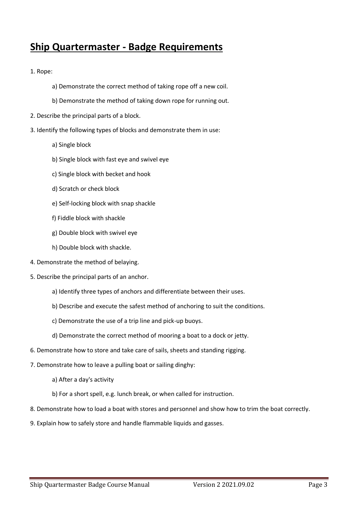## **Ship Quartermaster - Badge Requirements**

1. Rope:

- a) Demonstrate the correct method of taking rope off a new coil.
- b) Demonstrate the method of taking down rope for running out.
- 2. Describe the principal parts of a block.
- 3. Identify the following types of blocks and demonstrate them in use:
	- a) Single block
	- b) Single block with fast eye and swivel eye
	- c) Single block with becket and hook
	- d) Scratch or check block
	- e) Self-locking block with snap shackle
	- f) Fiddle block with shackle
	- g) Double block with swivel eye
	- h) Double block with shackle.
- 4. Demonstrate the method of belaying.
- 5. Describe the principal parts of an anchor.
	- a) Identify three types of anchors and differentiate between their uses.
	- b) Describe and execute the safest method of anchoring to suit the conditions.
	- c) Demonstrate the use of a trip line and pick-up buoys.
	- d) Demonstrate the correct method of mooring a boat to a dock or jetty.
- 6. Demonstrate how to store and take care of sails, sheets and standing rigging.
- 7. Demonstrate how to leave a pulling boat or sailing dinghy:
	- a) After a day's activity
	- b) For a short spell, e.g. lunch break, or when called for instruction.
- 8. Demonstrate how to load a boat with stores and personnel and show how to trim the boat correctly.
- 9. Explain how to safely store and handle flammable liquids and gasses.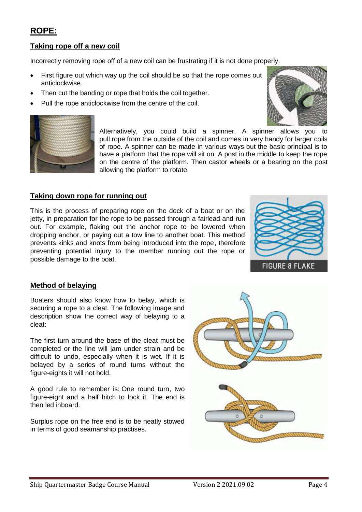## **ROPE:**

#### **Taking rope off a new coil**

Incorrectly removing rope off of a new coil can be frustrating if it is not done properly.

- First figure out which way up the coil should be so that the rope comes out anticlockwise.
- Then cut the banding or rope that holds the coil together.
- Pull the rope anticlockwise from the centre of the coil.





Alternatively, you could build a spinner. A spinner allows you to pull rope from the outside of the coil and comes in very handy for larger coils of rope. A spinner can be made in various ways but the basic principal is to have a platform that the rope will sit on. A post in the middle to keep the rope on the centre of the platform. Then castor wheels or a bearing on the post allowing the platform to rotate.

#### **Taking down rope for running out**

This is the process of preparing rope on the deck of a boat or on the jetty, in preparation for the rope to be passed through a fairlead and run out. For example, flaking out the anchor rope to be lowered when dropping anchor, or paying out a tow line to another boat. This method prevents kinks and knots from being introduced into the rope, therefore preventing potential injury to the member running out the rope or possible damage to the boat.



#### **Method of belaying**

Boaters should also know how to belay, which is securing a rope to a cleat. The following image and description show the correct way of belaying to a cleat:

The first turn around the base of the cleat must be completed or the line will jam under strain and be difficult to undo, especially when it is wet. If it is belayed by a series of round turns without the figure-eights it will not hold.

A good rule to remember is: One round turn, two figure-eight and a half hitch to lock it. The end is then led inboard.

Surplus rope on the free end is to be neatly stowed in terms of good seamanship practises.

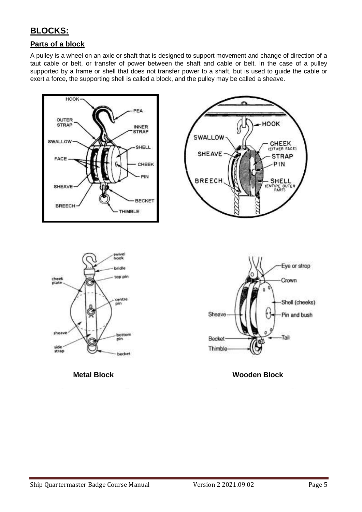## **BLOCKS:**

#### **Parts of a block**

A pulley is a [wheel](https://en.wikipedia.org/wiki/Wheel) on an [axle](https://en.wikipedia.org/wiki/Axle) or [shaft](https://en.wikipedia.org/wiki/Shaft_(mechanical_engineering)) that is designed to support movement and change of direction of a taut cable or belt, or transfer of power between the shaft and cable or belt. In the case of a pulley supported by a frame or shell that does not transfer power to a shaft, but is used to guide the cable or exert a force, the supporting shell is called a block, and the pulley may be called a sheave.

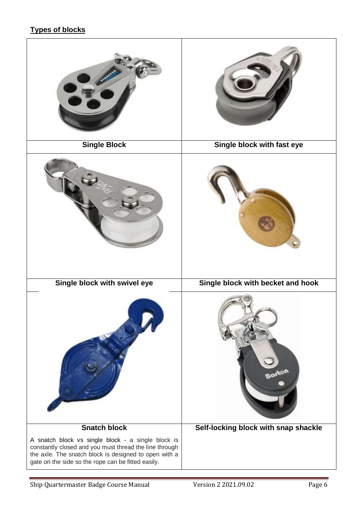#### **Types of blocks**

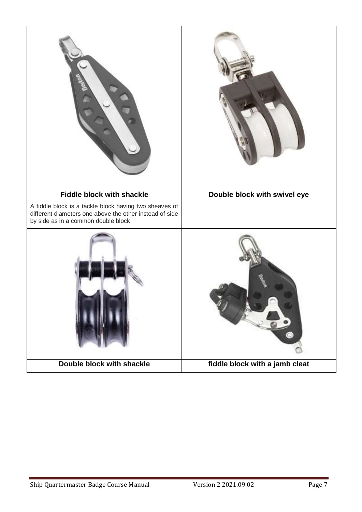| <b>Fiddle block with shackle</b>                                                                                                                         | Double block with swivel eye   |
|----------------------------------------------------------------------------------------------------------------------------------------------------------|--------------------------------|
| A fiddle block is a tackle block having two sheaves of<br>different diameters one above the other instead of side<br>by side as in a common double block |                                |
|                                                                                                                                                          |                                |
| Double block with shackle                                                                                                                                | fiddle block with a jamb cleat |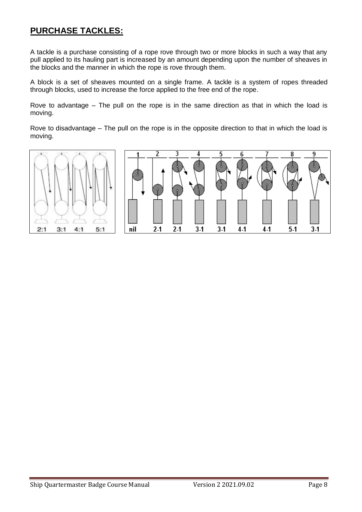## **PURCHASE TACKLES:**

A tackle is a purchase consisting of a rope rove through two or more blocks in such a way that any pull applied to its hauling part is increased by an amount depending upon the number of sheaves in the blocks and the manner in which the rope is rove through them.

A block is a set of sheaves mounted on a single frame. A tackle is a system of ropes threaded through blocks, used to increase the force applied to the free end of the rope.

Rove to advantage – The pull on the rope is in the same direction as that in which the load is moving.

Rove to disadvantage – The pull on the rope is in the opposite direction to that in which the load is moving.

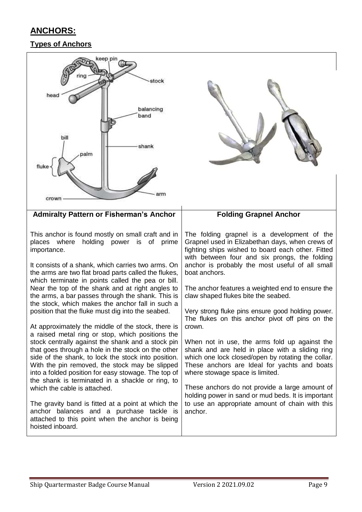## **ANCHORS:**

### **Types of Anchors**

| (eep pin<br>rina<br>stock<br>head<br>balancing<br>band<br>bill<br>shank<br>palm<br>arm<br>crown                                                                                                                                                                                                                                                                                                                                                                                                                                                                                                                                                                                                                                                                                                                                                                                                                                                                                                                                                                                                                                                            |                                                                                                                                                                                                                                                                                                                                                                                                                                                                                                                                                                                                                                                                                                                                                                                                                                                                                                          |
|------------------------------------------------------------------------------------------------------------------------------------------------------------------------------------------------------------------------------------------------------------------------------------------------------------------------------------------------------------------------------------------------------------------------------------------------------------------------------------------------------------------------------------------------------------------------------------------------------------------------------------------------------------------------------------------------------------------------------------------------------------------------------------------------------------------------------------------------------------------------------------------------------------------------------------------------------------------------------------------------------------------------------------------------------------------------------------------------------------------------------------------------------------|----------------------------------------------------------------------------------------------------------------------------------------------------------------------------------------------------------------------------------------------------------------------------------------------------------------------------------------------------------------------------------------------------------------------------------------------------------------------------------------------------------------------------------------------------------------------------------------------------------------------------------------------------------------------------------------------------------------------------------------------------------------------------------------------------------------------------------------------------------------------------------------------------------|
| <b>Admiralty Pattern or Fisherman's Anchor</b>                                                                                                                                                                                                                                                                                                                                                                                                                                                                                                                                                                                                                                                                                                                                                                                                                                                                                                                                                                                                                                                                                                             | <b>Folding Grapnel Anchor</b>                                                                                                                                                                                                                                                                                                                                                                                                                                                                                                                                                                                                                                                                                                                                                                                                                                                                            |
| This anchor is found mostly on small craft and in<br>where<br>holding power is of<br>places<br>prime<br>importance.<br>It consists of a shank, which carries two arms. On<br>the arms are two flat broad parts called the flukes,<br>which terminate in points called the pea or bill.<br>Near the top of the shank and at right angles to<br>the arms, a bar passes through the shank. This is<br>the stock, which makes the anchor fall in such a<br>position that the fluke must dig into the seabed.<br>At approximately the middle of the stock, there is<br>a raised metal ring or stop, which positions the<br>stock centrally against the shank and a stock pin<br>that goes through a hole in the stock on the other<br>side of the shank, to lock the stock into position.<br>With the pin removed, the stock may be slipped<br>into a folded position for easy stowage. The top of<br>the shank is terminated in a shackle or ring, to<br>which the cable is attached.<br>The gravity band is fitted at a point at which the<br>anchor balances and a purchase tackle is<br>attached to this point when the anchor is being<br>hoisted inboard. | The folding grapnel is a development of the<br>Grapnel used in Elizabethan days, when crews of<br>fighting ships wished to board each other. Fitted<br>with between four and six prongs, the folding<br>anchor is probably the most useful of all small<br>boat anchors.<br>The anchor features a weighted end to ensure the<br>claw shaped flukes bite the seabed.<br>Very strong fluke pins ensure good holding power.<br>The flukes on this anchor pivot off pins on the<br>crown.<br>When not in use, the arms fold up against the<br>shank and are held in place with a sliding ring<br>which one lock closed/open by rotating the collar.<br>These anchors are Ideal for yachts and boats<br>where stowage space is limited.<br>These anchors do not provide a large amount of<br>holding power in sand or mud beds. It is important<br>to use an appropriate amount of chain with this<br>anchor. |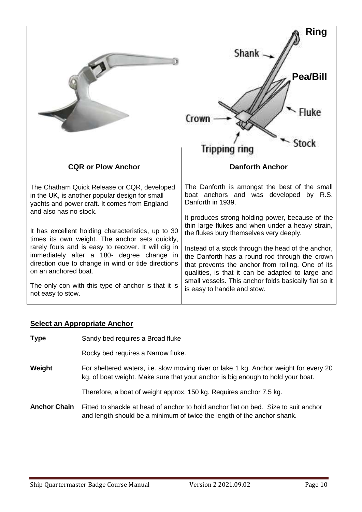|                                                                                                                                                                                                                                  | Ring<br>Shank                                                                                                                                                                                                                                                           |
|----------------------------------------------------------------------------------------------------------------------------------------------------------------------------------------------------------------------------------|-------------------------------------------------------------------------------------------------------------------------------------------------------------------------------------------------------------------------------------------------------------------------|
|                                                                                                                                                                                                                                  | <b>Pea/Bill</b><br><b>STOCK</b><br><b>Tripping ring</b>                                                                                                                                                                                                                 |
| <b>CQR or Plow Anchor</b>                                                                                                                                                                                                        | <b>Danforth Anchor</b>                                                                                                                                                                                                                                                  |
|                                                                                                                                                                                                                                  |                                                                                                                                                                                                                                                                         |
| The Chatham Quick Release or CQR, developed<br>in the UK, is another popular design for small<br>yachts and power craft. It comes from England<br>and also has no stock.                                                         | The Danforth is amongst the best of the small<br>boat anchors and was developed by R.S.<br>Danforth in 1939.                                                                                                                                                            |
| It has excellent holding characteristics, up to 30                                                                                                                                                                               | It produces strong holding power, because of the<br>thin large flukes and when under a heavy strain,<br>the flukes bury themselves very deeply.                                                                                                                         |
| times its own weight. The anchor sets quickly,<br>rarely fouls and is easy to recover. It will dig in<br>immediately after a 180- degree change in<br>direction due to change in wind or tide directions<br>on an anchored boat. | Instead of a stock through the head of the anchor,<br>the Danforth has a round rod through the crown<br>that prevents the anchor from rolling. One of its<br>qualities, is that it can be adapted to large and<br>small vessels. This anchor folds basically flat so it |

## **Select an Appropriate Anchor**

| <b>Type</b>         | Sandy bed requires a Broad fluke                                                                                                                                         |
|---------------------|--------------------------------------------------------------------------------------------------------------------------------------------------------------------------|
|                     | Rocky bed requires a Narrow fluke.                                                                                                                                       |
| Weight              | For sheltered waters, i.e. slow moving river or lake 1 kg. Anchor weight for every 20<br>kg. of boat weight. Make sure that your anchor is big enough to hold your boat. |
|                     | Therefore, a boat of weight approx. 150 kg. Requires anchor 7,5 kg.                                                                                                      |
| <b>Anchor Chain</b> | Fitted to shackle at head of anchor to hold anchor flat on bed. Size to suit anchor<br>and length should be a minimum of twice the length of the anchor shank.           |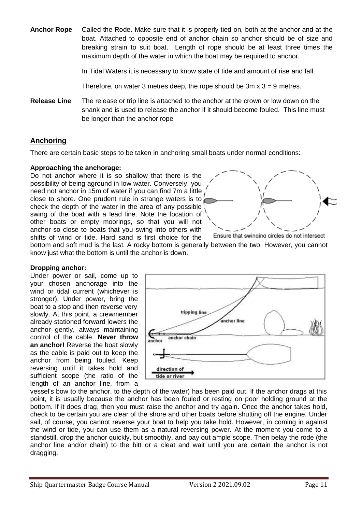**Anchor Rope** Called the Rode. Make sure that it is properly tied on, both at the anchor and at the boat. Attached to opposite end of anchor chain so anchor should be of size and breaking strain to suit boat. Length of rope should be at least three times the maximum depth of the water in which the boat may be required to anchor.

In Tidal Waters it is necessary to know state of tide and amount of rise and fall.

Therefore, on water 3 metres deep, the rope should be  $3m \times 3 = 9$  metres.

**Release Line** The release or trip line is attached to the anchor at the crown or low down on the shank and is used to release the anchor if it should become fouled. This line must be longer than the anchor rope

#### **Anchoring**

There are certain basic steps to be taken in anchoring small boats under normal conditions:

#### **Approaching the anchorage:**

Do not anchor where it is so shallow that there is the possibility of being aground in low water. Conversely, you need not anchor in 15m of water if you can find 7m a little close to shore. One prudent rule in strange waters is to check the depth of the water in the area of any possible swing of the boat with a lead line. Note the location of other boats or empty moorings, so that you will not anchor so close to boats that you swing into others with shifts of wind or tide. Hard sand is first choice for the



Ensure that swinging circles do not intersect bottom and soft mud is the last. A rocky bottom is generally between the two. However, you cannot know just what the bottom is until the anchor is down.

#### **Dropping anchor:**

Under power or sail, come up to your chosen anchorage into the wind or tidal current (whichever is stronger). Under power, bring the boat to a stop and then reverse very slowly. At this point, a crewmember already stationed forward lowers the anchor gently, always maintaining control of the cable. **Never throw an anchor!** Reverse the boat slowly as the cable is paid out to keep the anchor from being fouled. Keep reversing until it takes hold and sufficient scope (the ratio of the length of an anchor line, from a



vessel's bow to the anchor, to the depth of the water) has been paid out. If the anchor drags at this point, it is usually because the anchor has been fouled or resting on poor holding ground at the bottom. If it does drag, then you must raise the anchor and try again. Once the anchor takes hold, check to be certain you are clear of the shore and other boats before shutting off the engine. Under sail, of course, you cannot reverse your boat to help you take hold. However, in coming in against the wind or tide, you can use them as a natural reversing power. At the moment you come to a standstill, drop the anchor quickly, but smoothly, and pay out ample scope. Then belay the rode (the anchor line and/or chain) to the bitt or a cleat and wait until you are certain the anchor is not dragging.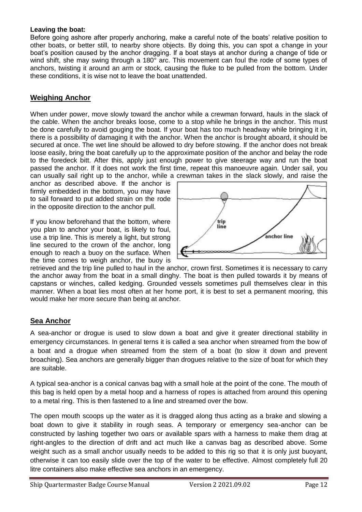#### **Leaving the boat:**

Before going ashore after properly anchoring, make a careful note of the boats' relative position to other boats, or better still, to nearby shore objects. By doing this, you can spot a change in your boat's position caused by the anchor dragging. If a boat stays at anchor during a change of tide or wind shift, she may swing through a 180° arc. This movement can foul the rode of some types of anchors, twisting it around an arm or stock, causing the fluke to be pulled from the bottom. Under these conditions, it is wise not to leave the boat unattended.

#### **Weighing Anchor**

When under power, move slowly toward the anchor while a crewman forward, hauls in the slack of the cable. When the anchor breaks loose, come to a stop while he brings in the anchor. This must be done carefully to avoid gouging the boat. If your boat has too much headway while bringing it in, there is a possibility of damaging it with the anchor. When the anchor is brought aboard, it should be secured at once. The wet line should be allowed to dry before stowing. If the anchor does not break loose easily, bring the boat carefully up to the approximate position of the anchor and belay the rode to the foredeck bitt. After this, apply just enough power to give steerage way and run the boat passed the anchor. If it does not work the first time, repeat this manoeuvre again. Under sail, you can usually sail right up to the anchor, while a crewman takes in the slack slowly, and raise the

anchor as described above. If the anchor is firmly embedded in the bottom, you may have to sail forward to put added strain on the rode in the opposite direction to the anchor pull.

If you know beforehand that the bottom, where you plan to anchor your boat, is likely to foul, use a trip line. This is merely a light, but strong line secured to the crown of the anchor, long enough to reach a buoy on the surface. When the time comes to weigh anchor, the buoy is



retrieved and the trip line pulled to haul in the anchor, crown first. Sometimes it is necessary to carry the anchor away from the boat in a small dinghy. The boat is then pulled towards it by means of capstans or winches, called kedging. Grounded vessels sometimes pull themselves clear in this manner. When a boat lies most often at her home port, it is best to set a permanent mooring, this would make her more secure than being at anchor.

#### **Sea Anchor**

A sea-anchor or drogue is used to slow down a boat and give it greater directional stability in emergency circumstances. In general terns it is called a sea anchor when streamed from the bow of a boat and a drogue when streamed from the stern of a boat (to slow it down and prevent broaching). Sea anchors are generally bigger than drogues relative to the size of boat for which they are suitable.

A typical sea-anchor is a conical canvas bag with a small hole at the point of the cone. The mouth of this bag is held open by a metal hoop and a harness of ropes is attached from around this opening to a metal ring. This is then fastened to a line and streamed over the bow.

The open mouth scoops up the water as it is dragged along thus acting as a brake and slowing a boat down to give it stability in rough seas. A temporary or emergency sea-anchor can be constructed by lashing together two oars or available spars with a harness to make them drag at right-angles to the direction of drift and act much like a canvas bag as described above. Some weight such as a small anchor usually needs to be added to this rig so that it is only just buoyant, otherwise it can too easily slide over the top of the water to be effective. Almost completely full 20 litre containers also make effective sea anchors in an emergency.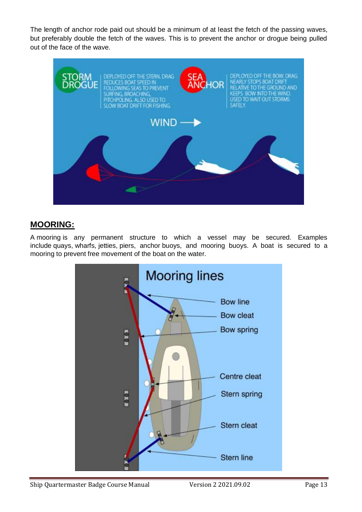The length of anchor rode paid out should be a minimum of at least the fetch of the passing waves, but preferably double the fetch of the waves. This is to prevent the anchor or drogue being pulled out of the face of the wave.



## **MOORING:**

A mooring is any permanent structure to which a vessel may be secured. Examples include [quays,](https://en.wikipedia.org/wiki/Quay) [wharfs,](https://en.wikipedia.org/wiki/Wharf) [jetties,](https://en.wikipedia.org/wiki/Jetty) [piers,](https://en.wikipedia.org/wiki/Pier) anchor [buoys,](https://en.wikipedia.org/wiki/Buoy) and mooring buoys. A boat is secured to a mooring to prevent free movement of the boat on the water.

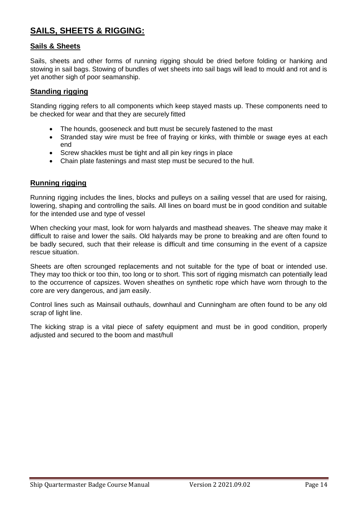## **SAILS, SHEETS & RIGGING:**

#### **Sails & Sheets**

Sails, sheets and other forms of running rigging should be dried before folding or hanking and stowing in sail bags. Stowing of bundles of wet sheets into sail bags will lead to mould and rot and is yet another sigh of poor seamanship.

#### **Standing rigging**

Standing rigging refers to all components which keep stayed masts up. These components need to be checked for wear and that they are securely fitted

- The hounds, gooseneck and butt must be securely fastened to the mast
- Stranded stay wire must be free of fraying or kinks, with thimble or swage eyes at each end
- Screw shackles must be tight and all pin key rings in place
- Chain plate fastenings and mast step must be secured to the hull.

#### **Running rigging**

Running rigging includes the lines, blocks and pulleys on a sailing vessel that are used for raising, lowering, shaping and controlling the sails. All lines on board must be in good condition and suitable for the intended use and type of vessel

When checking your mast, look for worn halyards and masthead sheaves. The sheave may make it difficult to raise and lower the sails. Old halyards may be prone to breaking and are often found to be badly secured, such that their release is difficult and time consuming in the event of a capsize rescue situation.

Sheets are often scrounged replacements and not suitable for the type of boat or intended use. They may too thick or too thin, too long or to short. This sort of rigging mismatch can potentially lead to the occurrence of capsizes. Woven sheathes on synthetic rope which have worn through to the core are very dangerous, and jam easily.

Control lines such as Mainsail outhauls, downhaul and Cunningham are often found to be any old scrap of light line.

The kicking strap is a vital piece of safety equipment and must be in good condition, properly adjusted and secured to the boom and mast/hull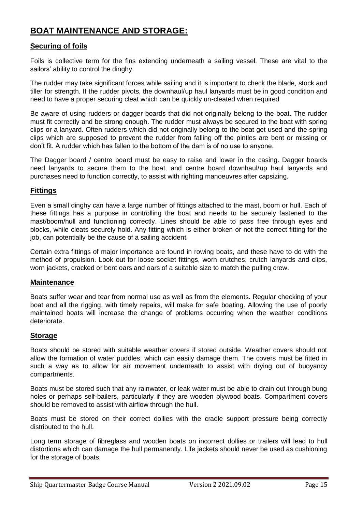## **BOAT MAINTENANCE AND STORAGE:**

#### **Securing of foils**

Foils is collective term for the fins extending underneath a sailing vessel. These are vital to the sailors' ability to control the dinghy.

The rudder may take significant forces while sailing and it is important to check the blade, stock and tiller for strength. If the rudder pivots, the downhaul/up haul lanyards must be in good condition and need to have a proper securing cleat which can be quickly un-cleated when required

Be aware of using rudders or dagger boards that did not originally belong to the boat. The rudder must fit correctly and be strong enough. The rudder must always be secured to the boat with spring clips or a lanyard. Often rudders which did not originally belong to the boat get used and the spring clips which are supposed to prevent the rudder from falling off the pintles are bent or missing or don't fit. A rudder which has fallen to the bottom of the dam is of no use to anyone.

The Dagger board / centre board must be easy to raise and lower in the casing. Dagger boards need lanyards to secure them to the boat, and centre board downhaul/up haul lanyards and purchases need to function correctly, to assist with righting manoeuvres after capsizing.

#### **Fittings**

Even a small dinghy can have a large number of fittings attached to the mast, boom or hull. Each of these fittings has a purpose in controlling the boat and needs to be securely fastened to the mast/boom/hull and functioning correctly. Lines should be able to pass free through eyes and blocks, while cleats securely hold. Any fitting which is either broken or not the correct fitting for the job, can potentially be the cause of a sailing accident.

Certain extra fittings of major importance are found in rowing boats, and these have to do with the method of propulsion. Look out for loose socket fittings, worn crutches, crutch lanyards and clips, worn jackets, cracked or bent oars and oars of a suitable size to match the pulling crew.

#### **Maintenance**

Boats suffer wear and tear from normal use as well as from the elements. Regular checking of your boat and all the rigging, with timely repairs, will make for safe boating. Allowing the use of poorly maintained boats will increase the change of problems occurring when the weather conditions deteriorate.

#### **Storage**

Boats should be stored with suitable weather covers if stored outside. Weather covers should not allow the formation of water puddles, which can easily damage them. The covers must be fitted in such a way as to allow for air movement underneath to assist with drying out of buoyancy compartments.

Boats must be stored such that any rainwater, or leak water must be able to drain out through bung holes or perhaps self-bailers, particularly if they are wooden plywood boats. Compartment covers should be removed to assist with airflow through the hull.

Boats must be stored on their correct dollies with the cradle support pressure being correctly distributed to the hull.

Long term storage of fibreglass and wooden boats on incorrect dollies or trailers will lead to hull distortions which can damage the hull permanently. Life jackets should never be used as cushioning for the storage of boats.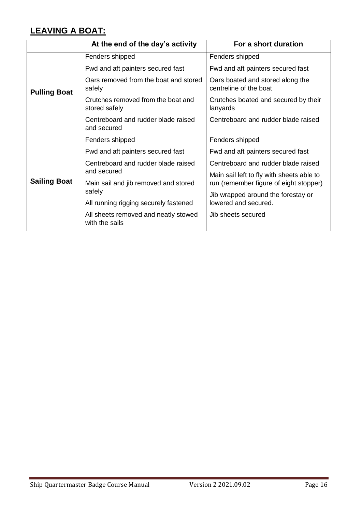## **LEAVING A BOAT:**

|                     | At the end of the day's activity                       | For a short duration                                       |
|---------------------|--------------------------------------------------------|------------------------------------------------------------|
| <b>Pulling Boat</b> | Fenders shipped                                        | Fenders shipped                                            |
|                     | Fwd and aft painters secured fast                      | Fwd and aft painters secured fast                          |
|                     | Oars removed from the boat and stored<br>safely        | Oars boated and stored along the<br>centreline of the boat |
|                     | Crutches removed from the boat and<br>stored safely    | Crutches boated and secured by their<br>lanyards           |
|                     | Centreboard and rudder blade raised<br>and secured     | Centreboard and rudder blade raised                        |
|                     | Fenders shipped                                        | Fenders shipped                                            |
|                     | Fwd and aft painters secured fast                      | Fwd and aft painters secured fast                          |
| <b>Sailing Boat</b> | Centreboard and rudder blade raised                    | Centreboard and rudder blade raised                        |
|                     | and secured                                            | Main sail left to fly with sheets able to                  |
|                     | Main sail and jib removed and stored<br>safely         | run (remember figure of eight stopper)                     |
|                     |                                                        | Jib wrapped around the forestay or                         |
|                     | All running rigging securely fastened                  | lowered and secured.                                       |
|                     | All sheets removed and neatly stowed<br>with the sails | Jib sheets secured                                         |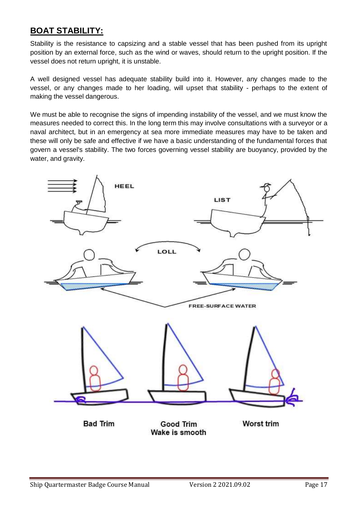## **BOAT STABILITY:**

Stability is the resistance to capsizing and a stable vessel that has been pushed from its upright position by an external force, such as the wind or waves, should return to the upright position. If the vessel does not return upright, it is unstable.

A well designed vessel has adequate stability build into it. However, any changes made to the vessel, or any changes made to her loading, will upset that stability - perhaps to the extent of making the vessel dangerous.

We must be able to recognise the signs of impending instability of the vessel, and we must know the measures needed to correct this. In the long term this may involve consultations with a surveyor or a naval architect, but in an emergency at sea more immediate measures may have to be taken and these will only be safe and effective if we have a basic understanding of the fundamental forces that govern a vessel's stability. The two forces governing vessel stability are buoyancy, provided by the water, and gravity.

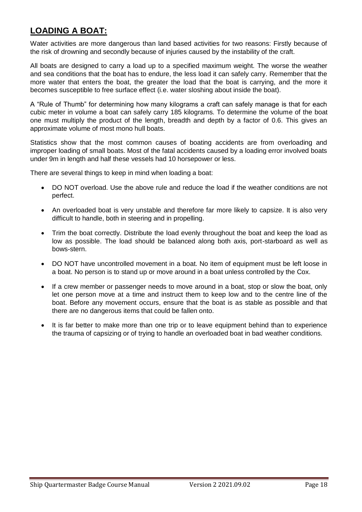## **LOADING A BOAT:**

Water activities are more dangerous than land based activities for two reasons: Firstly because of the risk of drowning and secondly because of injuries caused by the instability of the craft.

All boats are designed to carry a load up to a specified maximum weight. The worse the weather and sea conditions that the boat has to endure, the less load it can safely carry. Remember that the more water that enters the boat, the greater the load that the boat is carrying, and the more it becomes susceptible to free surface effect (i.e. water sloshing about inside the boat).

A "Rule of Thumb" for determining how many kilograms a craft can safely manage is that for each cubic meter in volume a boat can safely carry 185 kilograms. To determine the volume of the boat one must multiply the product of the length, breadth and depth by a factor of 0.6. This gives an approximate volume of most mono hull boats.

Statistics show that the most common causes of boating accidents are from overloading and improper loading of small boats. Most of the fatal accidents caused by a loading error involved boats under 9m in length and half these vessels had 10 horsepower or less.

There are several things to keep in mind when loading a boat:

- DO NOT overload. Use the above rule and reduce the load if the weather conditions are not perfect.
- An overloaded boat is very unstable and therefore far more likely to capsize. It is also very difficult to handle, both in steering and in propelling.
- Trim the boat correctly. Distribute the load evenly throughout the boat and keep the load as low as possible. The load should be balanced along both axis, port-starboard as well as bows-stern.
- DO NOT have uncontrolled movement in a boat. No item of equipment must be left loose in a boat. No person is to stand up or move around in a boat unless controlled by the Cox.
- If a crew member or passenger needs to move around in a boat, stop or slow the boat, only let one person move at a time and instruct them to keep low and to the centre line of the boat. Before any movement occurs, ensure that the boat is as stable as possible and that there are no dangerous items that could be fallen onto.
- It is far better to make more than one trip or to leave equipment behind than to experience the trauma of capsizing or of trying to handle an overloaded boat in bad weather conditions.